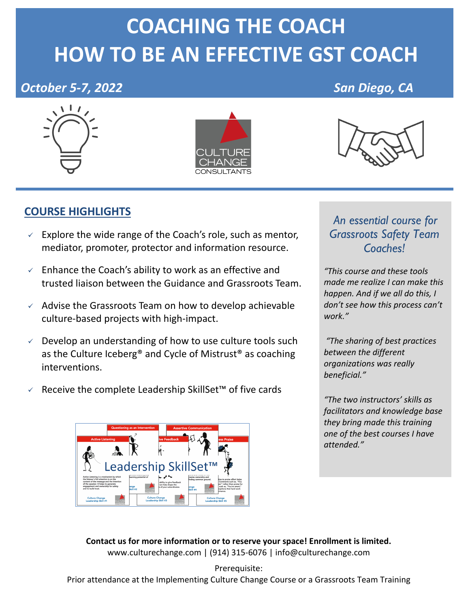# **COACHING THE COACH HOW TO BE AN EFFECTIVE GST COACH**

# **October 5-7, 2022** San Diego, CA







## **COURSE HIGHLIGHTS**

- $\sqrt{ }$  Explore the wide range of the Coach's role, such as mentor, mediator, promoter, protector and information resource.
- $\checkmark$  Enhance the Coach's ability to work as an effective and trusted liaison between the Guidance and Grassroots Team.
- $\checkmark$  Advise the Grassroots Team on how to develop achievable culture-based projects with high-impact.
- $\vee$  Develop an understanding of how to use culture tools such as the Culture Iceberg® and Cycle of Mistrust® as coaching interventions.
- <sup>ü</sup> Receive the complete Leadership SkillSet™ of five cards



#### *An essential course for Grassroots Safety Team Coaches!*

*"This course and these tools made me realize I can make this happen. And if we all do this, I don't see how this process can't work."*

*"The sharing of best practices between the different organizations was really beneficial."* 

*"The two instructors' skills as facilitators and knowledge base they bring made this training one of the best courses I have attended."*

**Contact us for more information or to reserve your space! Enrollment is limited.**  www.culturechange.com | (914) 315-6076 | info@culturechange.com

Prerequisite: Prior attendance at the Implementing Culture Change Course or a Grassroots Team Training